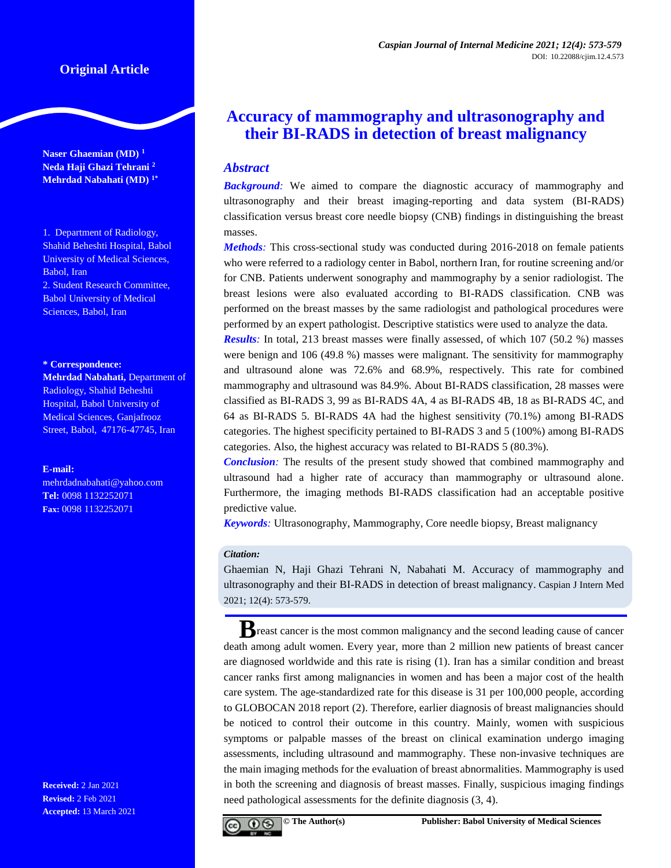# **Original Article**

**Naser Ghaemian (MD) <sup>1</sup> Neda Haji Ghazi Tehrani <sup>2</sup> Mehrdad Nabahati (MD) 1\***

1. Department of Radiology, Shahid Beheshti Hospital, Babol University of Medical Sciences, Babol, Iran 2. Student Research Committee, Babol University of Medical Sciences, Babol, Iran

#### **\* Correspondence:**

**Mehrdad Nabahati,** Department of Radiology, Shahid Beheshti Hospital, Babol University of Medical Sciences, Ganjafrooz Street, Babol, 47176-47745, Iran

#### **E-mail:**

[mehrdadnabahati@yahoo.com](mailto:mehrdadnabahati@yahoo.com) **Tel:** 0098 1132252071 **Fax:** 0098 1132252071

**Received:** 2 Jan 2021 **Revised:** 2 Feb 2021 **Accepted:** 13 March 2021

# **Accuracy of mammography and ultrasonography and their BI-RADS in detection of breast malignancy**

# *Abstract*

**Background**: We aimed to compare the diagnostic accuracy of mammography and ultrasonography and their breast imaging-reporting and data system (BI-RADS) classification versus breast core needle biopsy (CNB) findings in distinguishing the breast masses.

*Methods:* This cross-sectional study was conducted during 2016-2018 on female patients who were referred to a radiology center in Babol, northern Iran, for routine screening and/or for CNB. Patients underwent sonography and mammography by a senior radiologist. The breast lesions were also evaluated according to BI-RADS classification. CNB was performed on the breast masses by the same radiologist and pathological procedures were performed by an expert pathologist. Descriptive statistics were used to analyze the data.

*Results:* In total, 213 breast masses were finally assessed, of which 107 (50.2 %) masses were benign and 106 (49.8 %) masses were malignant. The sensitivity for mammography and ultrasound alone was 72.6% and 68.9%, respectively. This rate for combined mammography and ultrasound was 84.9%. About BI-RADS classification, 28 masses were classified as BI-RADS 3, 99 as BI-RADS 4A, 4 as BI-RADS 4B, 18 as BI-RADS 4C, and 64 as BI-RADS 5. BI-RADS 4A had the highest sensitivity (70.1%) among BI-RADS categories. The highest specificity pertained to BI-RADS 3 and 5 (100%) among BI-RADS categories. Also, the highest accuracy was related to BI-RADS 5 (80.3%).

*Conclusion:* The results of the present study showed that combined mammography and ultrasound had a higher rate of accuracy than mammography or ultrasound alone. Furthermore, the imaging methods BI-RADS classification had an acceptable positive predictive value.

*Keywords:* Ultrasonography, Mammography, Core needle biopsy, Breast malignancy

#### *Citation:*

Ghaemian N, Haji Ghazi Tehrani N, Nabahati M. Accuracy of mammography and ultrasonography and their BI-RADS in detection of breast malignancy. Caspian J Intern Med 2021; 12(4): 573-579.

**B**reast cancer is the most common malignancy and the second leading cause of cancer death among adult women. Every year, more than 2 million new patients of breast cancer are diagnosed worldwide and this rate is rising (1). Iran has a similar condition and breast cancer ranks first among malignancies in women and has been a major cost of the health care system. The age-standardized rate for this disease is 31 per 100,000 people, according to GLOBOCAN 2018 report (2). Therefore, earlier diagnosis of breast malignancies should be noticed to control their outcome in this country. Mainly, women with suspicious symptoms or palpable masses of the breast on clinical examination undergo imaging assessments, including ultrasound and mammography. These non-invasive techniques are the main imaging methods for the evaluation of breast abnormalities. Mammography is used in both the screening and diagnosis of breast masses. Finally, suspicious imaging findings need pathological assessments for the definite diagnosis (3, 4).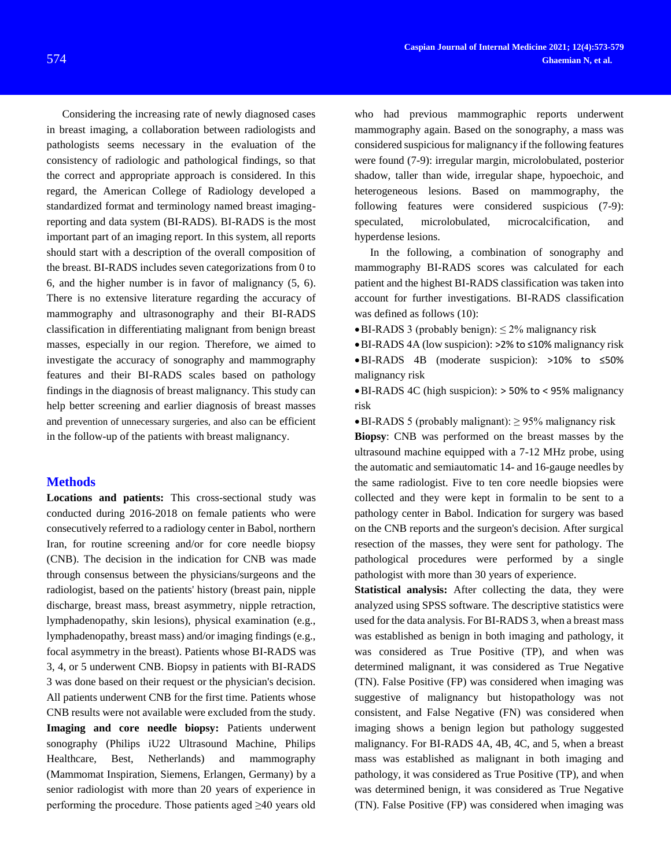Considering the increasing rate of newly diagnosed cases in breast imaging, a collaboration between radiologists and pathologists seems necessary in the evaluation of the consistency of radiologic and pathological findings, so that the correct and appropriate approach is considered. In this regard, the American College of Radiology developed a standardized format and terminology named breast imagingreporting and data system (BI-RADS). BI-RADS is the most important part of an imaging report. In this system, all reports should start with a description of the overall composition of the breast. BI-RADS includes seven categorizations from 0 to 6, and the higher number is in favor of malignancy (5, 6). There is no extensive literature regarding the accuracy of mammography and ultrasonography and their BI-RADS classification in differentiating malignant from benign breast masses, especially in our region. Therefore, we aimed to investigate the accuracy of sonography and mammography features and their BI-RADS scales based on pathology findings in the diagnosis of breast malignancy. This study can help better screening and earlier diagnosis of breast masses and prevention of unnecessary surgeries, and also can be efficient in the follow-up of the patients with breast malignancy.

# **Methods**

**Locations and patients:** This cross-sectional study was conducted during 2016-2018 on female patients who were consecutively referred to a radiology center in Babol, northern Iran, for routine screening and/or for core needle biopsy (CNB). The decision in the indication for CNB was made through consensus between the physicians/surgeons and the radiologist, based on the patients' history (breast pain, nipple discharge, breast mass, breast asymmetry, nipple retraction, lymphadenopathy, skin lesions), physical examination (e.g., lymphadenopathy, breast mass) and/or imaging findings (e.g., focal asymmetry in the breast). Patients whose BI-RADS was 3, 4, or 5 underwent CNB. Biopsy in patients with BI-RADS 3 was done based on their request or the physician's decision. All patients underwent CNB for the first time. Patients whose CNB results were not available were excluded from the study. **Imaging and core needle biopsy:** Patients underwent sonography (Philips iU22 Ultrasound Machine, Philips Healthcare, Best, Netherlands) and mammography (Mammomat Inspiration, Siemens, Erlangen, Germany) by a senior radiologist with more than 20 years of experience in performing the procedure. Those patients aged ≥40 years old

who had previous mammographic reports underwent mammography again. Based on the sonography, a mass was considered suspicious for malignancy if the following features were found (7-9): irregular margin, microlobulated, posterior shadow, taller than wide, irregular shape, hypoechoic, and heterogeneous lesions. Based on mammography, the following features were considered suspicious (7-9): speculated, microlobulated, microcalcification, and hyperdense lesions.

In the following, a combination of sonography and mammography BI-RADS scores was calculated for each patient and the highest BI-RADS classification was taken into account for further investigations. BI-RADS classification was defined as follows (10):

 $\bullet$  BI-RADS 3 (probably benign):  $\leq$  2% malignancy risk

BI-RADS 4A (low suspicion): >2% to ≤10% malignancy risk

BI-RADS 4B (moderate suspicion): >10% to ≤50% malignancy risk

BI-RADS 4C (high suspicion): > 50% to < 95% malignancy risk

 $\bullet$  BI-RADS 5 (probably malignant):  $\geq$  95% malignancy risk **Biopsy**: CNB was performed on the breast masses by the ultrasound machine equipped with a 7-12 MHz probe, using the automatic and semiautomatic 14- and 16-gauge needles by the same radiologist. Five to ten core needle biopsies were collected and they were kept in formalin to be sent to a pathology center in Babol. Indication for surgery was based on the CNB reports and the surgeon's decision. After surgical resection of the masses, they were sent for pathology. The pathological procedures were performed by a single pathologist with more than 30 years of experience.

**Statistical analysis:** After collecting the data, they were analyzed using SPSS software. The descriptive statistics were used for the data analysis. For BI-RADS 3, when a breast mass was established as benign in both imaging and pathology, it was considered as True Positive (TP), and when was determined malignant, it was considered as True Negative (TN). False Positive (FP) was considered when imaging was suggestive of malignancy but histopathology was not consistent, and False Negative (FN) was considered when imaging shows a benign legion but pathology suggested malignancy. For BI-RADS 4A, 4B, 4C, and 5, when a breast mass was established as malignant in both imaging and pathology, it was considered as True Positive (TP), and when was determined benign, it was considered as True Negative (TN). False Positive (FP) was considered when imaging was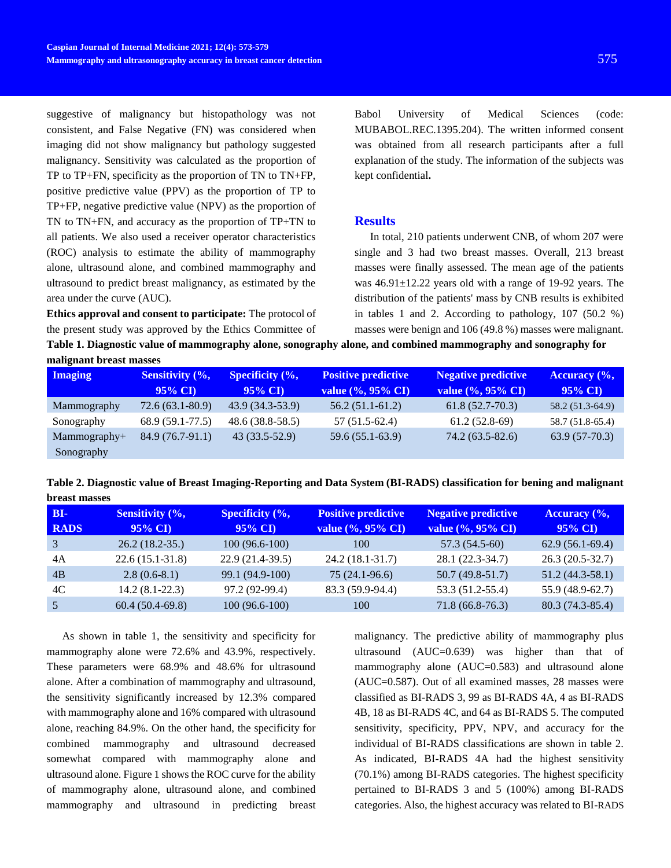suggestive of malignancy but histopathology was not consistent, and False Negative (FN) was considered when imaging did not show malignancy but pathology suggested malignancy. Sensitivity was calculated as the proportion of TP to TP+FN, specificity as the proportion of TN to TN+FP, positive predictive value (PPV) as the proportion of TP to TP+FP, negative predictive value (NPV) as the proportion of TN to TN+FN, and accuracy as the proportion of TP+TN to all patients. We also used a receiver operator characteristics (ROC) analysis to estimate the ability of mammography alone, ultrasound alone, and combined mammography and ultrasound to predict breast malignancy, as estimated by the area under the curve (AUC).

**Ethics approval and consent to participate:** The protocol of the present study was approved by the Ethics Committee of

**malignant breast masses**

Babol University of Medical Sciences (code: MUBABOL.REC.1395.204). The written informed consent was obtained from all research participants after a full explanation of the study. The information of the subjects was kept confidential**.**

## **Results**

In total, 210 patients underwent CNB, of whom 207 were single and 3 had two breast masses. Overall, 213 breast masses were finally assessed. The mean age of the patients was 46.91±12.22 years old with a range of 19-92 years. The distribution of the patients' mass by CNB results is exhibited in tables 1 and 2. According to pathology, 107 (50.2 %) masses were benign and 106 (49.8 %) masses were malignant.

**Table 1. Diagnostic value of mammography alone, sonography alone, and combined mammography and sonography for** 

| <b>Imaging</b> | <b>Sensitivity</b> $(\%$ ,<br>$95\%$ CI | <b>Specificity</b> $(\%$ ,<br>$95\%$ CI | <b>Positive predictive</b><br>value (%, 95% CI) | <b>Negative predictive</b><br>value (%, 95% CI) | Accuracy $\left(\%\right)$<br>$95\%$ CI |
|----------------|-----------------------------------------|-----------------------------------------|-------------------------------------------------|-------------------------------------------------|-----------------------------------------|
| Mammography    | $72.6(63.1-80.9)$                       | $43.9(34.3-53.9)$                       | $56.2(51.1-61.2)$                               | $61.8(52.7-70.3)$                               | 58.2 (51.3-64.9)                        |
| Sonography     | 68.9 (59.1-77.5)                        | $48.6(38.8-58.5)$                       | $57(51.5-62.4)$                                 | $61.2(52.8-69)$                                 | 58.7 (51.8-65.4)                        |
| $Mammography+$ | $84.9(76.7-91.1)$                       | $43(33.5-52.9)$                         | 59.6 (55.1-63.9)                                | $74.2(63.5-82.6)$                               | $63.9(57-70.3)$                         |
| Sonography     |                                         |                                         |                                                 |                                                 |                                         |

**Table 2. Diagnostic value of Breast Imaging-Reporting and Data System (BI-RADS) classification for bening and malignant breast masses**

| $BI -$      | <b>Sensitivity</b> $(\%$ , | Specificity (%,   | <b>Positive predictive</b> | <b>Negative predictive</b> | Accuracy $\left(\frac{6}{6}\right)$ |
|-------------|----------------------------|-------------------|----------------------------|----------------------------|-------------------------------------|
| <b>RADS</b> | $95\%$ CI                  | $95\%$ CI         | value (%, 95% CI)          | value (%, 95% CI)          | $95\%$ CI                           |
|             | $26.2(18.2-35.)$           | $100(96.6-100)$   | 100                        | 57.3 (54.5-60)             | $62.9(56.1-69.4)$                   |
| 4A          | $22.6(15.1-31.8)$          | $22.9(21.4-39.5)$ | 24.2 (18.1-31.7)           | 28.1 (22.3-34.7)           | $26.3(20.5-32.7)$                   |
| 4B          | $2.8(0.6-8.1)$             | 99.1 (94.9-100)   | $75(24.1-96.6)$            | $50.7(49.8-51.7)$          | $51.2(44.3-58.1)$                   |
| 4C          | $14.2(8.1-22.3)$           | 97.2 (92-99.4)    | 83.3 (59.9-94.4)           | 53.3 (51.2-55.4)           | 55.9 (48.9-62.7)                    |
|             | $60.4(50.4-69.8)$          | $100(96.6-100)$   | 100                        | $71.8(66.8-76.3)$          | 80.3 (74.3-85.4)                    |

As shown in table 1, the sensitivity and specificity for mammography alone were 72.6% and 43.9%, respectively. These parameters were 68.9% and 48.6% for ultrasound alone. After a combination of mammography and ultrasound, the sensitivity significantly increased by 12.3% compared with mammography alone and 16% compared with ultrasound alone, reaching 84.9%. On the other hand, the specificity for combined mammography and ultrasound decreased somewhat compared with mammography alone and ultrasound alone. Figure 1 shows the ROC curve for the ability of mammography alone, ultrasound alone, and combined mammography and ultrasound in predicting breast

malignancy. The predictive ability of mammography plus ultrasound (AUC=0.639) was higher than that of mammography alone (AUC=0.583) and ultrasound alone (AUC=0.587). Out of all examined masses, 28 masses were classified as BI-RADS 3, 99 as BI-RADS 4A, 4 as BI-RADS 4B, 18 as BI-RADS 4C, and 64 as BI-RADS 5. The computed sensitivity, specificity, PPV, NPV, and accuracy for the individual of BI-RADS classifications are shown in table 2. As indicated, BI-RADS 4A had the highest sensitivity (70.1%) among BI-RADS categories. The highest specificity pertained to BI-RADS 3 and 5 (100%) among BI-RADS categories. Also, the highest accuracy was related to BI-RADS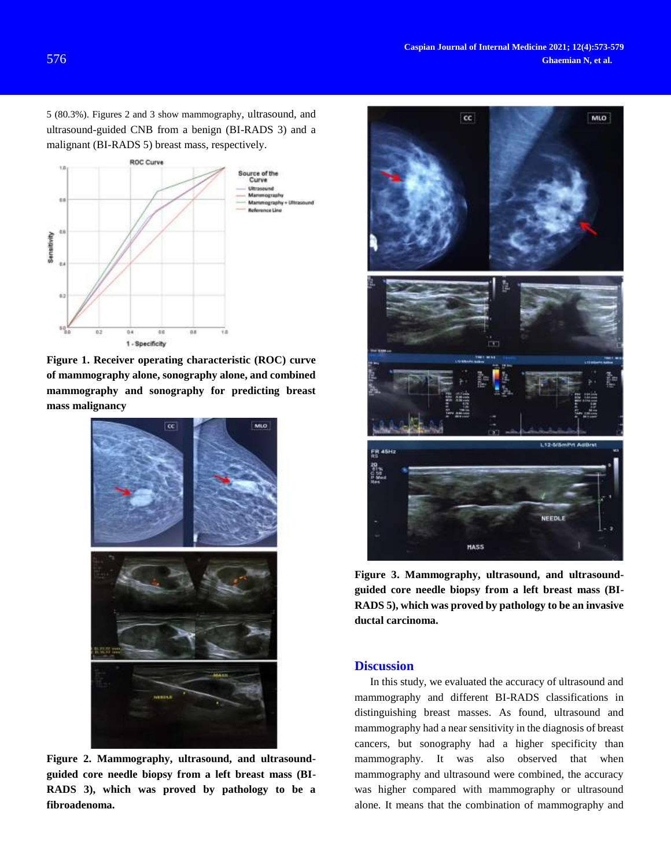5 (80.3%). Figures 2 and 3 show mammography, ultrasound, and ultrasound-guided CNB from a benign (BI-RADS 3) and a malignant (BI-RADS 5) breast mass, respectively.



**Figure 1. Receiver operating characteristic (ROC) curve of mammography alone, sonography alone, and combined mammography and sonography for predicting breast mass malignancy**



**Figure 2. Mammography, ultrasound, and ultrasoundguided core needle biopsy from a left breast mass (BI-RADS 3), which was proved by pathology to be a fibroadenoma.**



**Figure 3. Mammography, ultrasound, and ultrasoundguided core needle biopsy from a left breast mass (BI-RADS 5), which was proved by pathology to be an invasive ductal carcinoma.**

## **Discussion**

In this study, we evaluated the accuracy of ultrasound and mammography and different BI-RADS classifications in distinguishing breast masses. As found, ultrasound and mammography had a near sensitivity in the diagnosis of breast cancers, but sonography had a higher specificity than mammography. It was also observed that when mammography and ultrasound were combined, the accuracy was higher compared with mammography or ultrasound alone. It means that the combination of mammography and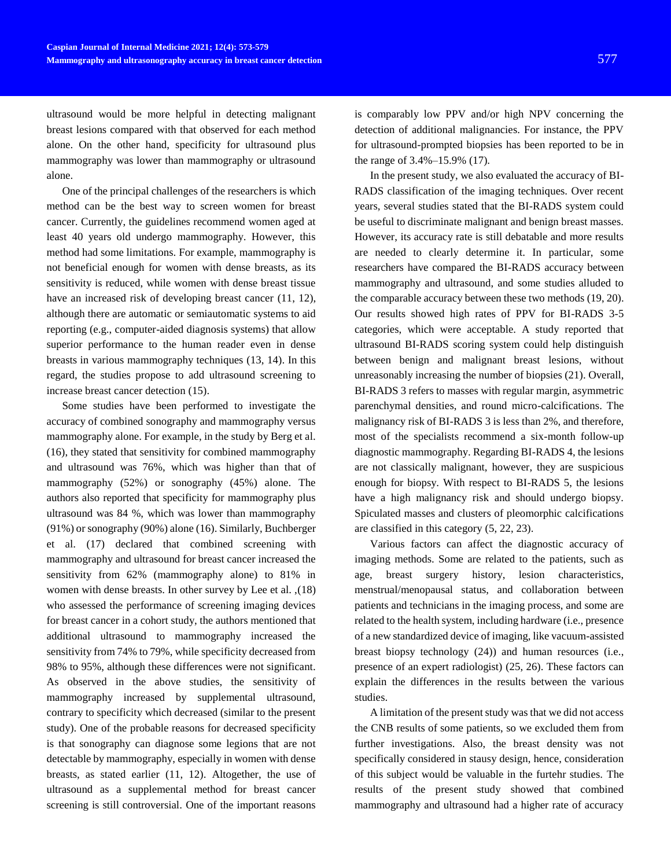ultrasound would be more helpful in detecting malignant breast lesions compared with that observed for each method alone. On the other hand, specificity for ultrasound plus mammography was lower than mammography or ultrasound alone.

One of the principal challenges of the researchers is which method can be the best way to screen women for breast cancer. Currently, the guidelines recommend women aged at least 40 years old undergo mammography. However, this method had some limitations. For example, mammography is not beneficial enough for women with dense breasts, as its sensitivity is reduced, while women with dense breast tissue have an increased risk of developing breast cancer (11, 12), although there are automatic or semiautomatic systems to aid reporting (e.g., computer-aided diagnosis systems) that allow superior performance to the human reader even in dense breasts in various mammography techniques (13, 14). In this regard, the studies propose to add ultrasound screening to increase breast cancer detection (15).

Some studies have been performed to investigate the accuracy of combined sonography and mammography versus mammography alone. For example, in the study by Berg et al. (16), they stated that sensitivity for combined mammography and ultrasound was 76%, which was higher than that of mammography (52%) or sonography (45%) alone. The authors also reported that specificity for mammography plus ultrasound was 84 %, which was lower than mammography (91%) or sonography (90%) alone (16). Similarly, Buchberger et al. (17) declared that combined screening with mammography and ultrasound for breast cancer increased the sensitivity from 62% (mammography alone) to 81% in women with dense breasts. In other survey by Lee et al. ,(18) who assessed the performance of screening imaging devices for breast cancer in a cohort study, the authors mentioned that additional ultrasound to mammography increased the sensitivity from 74% to 79%, while specificity decreased from 98% to 95%, although these differences were not significant. As observed in the above studies, the sensitivity of mammography increased by supplemental ultrasound, contrary to specificity which decreased (similar to the present study). One of the probable reasons for decreased specificity is that sonography can diagnose some legions that are not detectable by mammography, especially in women with dense breasts, as stated earlier (11, 12). Altogether, the use of ultrasound as a supplemental method for breast cancer screening is still controversial. One of the important reasons is comparably low PPV and/or high NPV concerning the detection of additional malignancies. For instance, the PPV for ultrasound-prompted biopsies has been reported to be in the range of 3.4%–15.9% (17).

In the present study, we also evaluated the accuracy of BI-RADS classification of the imaging techniques. Over recent years, several studies stated that the BI-RADS system could be useful to discriminate malignant and benign breast masses. However, its accuracy rate is still debatable and more results are needed to clearly determine it. In particular, some researchers have compared the BI-RADS accuracy between mammography and ultrasound, and some studies alluded to the comparable accuracy between these two methods (19, 20). Our results showed high rates of PPV for BI-RADS 3-5 categories, which were acceptable. A study reported that ultrasound BI-RADS scoring system could help distinguish between benign and malignant breast lesions, without unreasonably increasing the number of biopsies (21). Overall, BI-RADS 3 refers to masses with regular margin, asymmetric parenchymal densities, and round micro-calcifications. The malignancy risk of BI-RADS 3 is less than 2%, and therefore, most of the specialists recommend a six-month follow-up diagnostic mammography. Regarding BI-RADS 4, the lesions are not classically malignant, however, they are suspicious enough for biopsy. With respect to BI-RADS 5, the lesions have a high malignancy risk and should undergo biopsy. Spiculated masses and clusters of pleomorphic calcifications are classified in this category (5, 22, 23).

Various factors can affect the diagnostic accuracy of imaging methods. Some are related to the patients, such as age, breast surgery history, lesion characteristics, menstrual/menopausal status, and collaboration between patients and technicians in the imaging process, and some are related to the health system, including hardware (i.e., presence of a new standardized device of imaging, like vacuum-assisted breast biopsy technology (24)) and human resources (i.e., presence of an expert radiologist) (25, 26). These factors can explain the differences in the results between the various studies.

A limitation of the present study was that we did not access the CNB results of some patients, so we excluded them from further investigations. Also, the breast density was not specifically considered in stausy design, hence, consideration of this subject would be valuable in the furtehr studies. The results of the present study showed that combined mammography and ultrasound had a higher rate of accuracy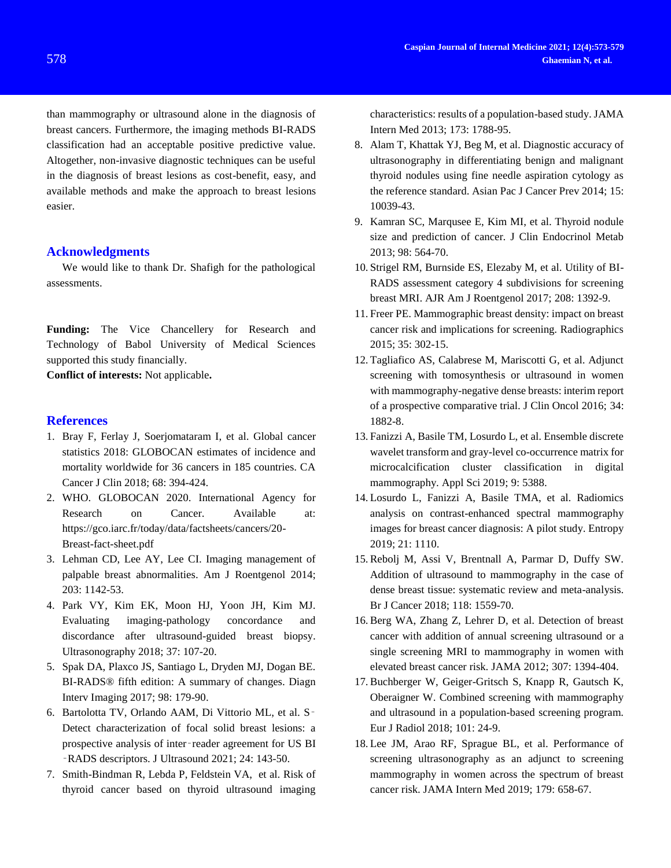than mammography or ultrasound alone in the diagnosis of breast cancers. Furthermore, the imaging methods BI-RADS classification had an acceptable positive predictive value. Altogether, non-invasive diagnostic techniques can be useful in the diagnosis of breast lesions as cost-benefit, easy, and available methods and make the approach to breast lesions easier.

## **Acknowledgments**

We would like to thank Dr. Shafigh for the pathological assessments.

**Funding:** The Vice Chancellery for Research and Technology of Babol University of Medical Sciences supported this study financially.

**Conflict of interests:** Not applicable**.**

### **References**

- 1. Bray F, Ferlay J, Soerjomataram I, et al. Global cancer statistics 2018: GLOBOCAN estimates of incidence and mortality worldwide for 36 cancers in 185 countries. CA Cancer J Clin 2018; 68: 394-424.
- 2. WHO. GLOBOCAN 2020. International Agency for Research on Cancer. Available at: https://gco.iarc.fr/today/data/factsheets/cancers/20- Breast-fact-sheet.pdf
- 3. Lehman CD, Lee AY, Lee CI. Imaging management of palpable breast abnormalities. Am J Roentgenol 2014; 203: 1142-53.
- 4. Park VY, Kim EK, Moon HJ, Yoon JH, Kim MJ. Evaluating imaging-pathology concordance and discordance after ultrasound-guided breast biopsy. Ultrasonography 2018; 37: 107-20.
- 5. Spak DA, Plaxco JS, Santiago L, Dryden MJ, Dogan BE. BI-RADS® fifth edition: A summary of changes. Diagn Interv Imaging 2017; 98: 179-90.
- 6. Bartolotta TV, Orlando AAM, Di Vittorio ML, et al. S‑ Detect characterization of focal solid breast lesions: a prospective analysis of inter‑reader agreement for US BI ‑RADS descriptors. J Ultrasound 2021; 24: 143-50.
- 7. Smith-Bindman R, Lebda P, Feldstein VA, et al. Risk of thyroid cancer based on thyroid ultrasound imaging

characteristics: results of a population-based study. JAMA Intern Med 2013; 173: 1788-95.

- 8. Alam T, Khattak YJ, Beg M, et al. Diagnostic accuracy of ultrasonography in differentiating benign and malignant thyroid nodules using fine needle aspiration cytology as the reference standard. Asian Pac J Cancer Prev 2014; 15: 10039-43.
- 9. Kamran SC, Marqusee E, Kim MI, et al. Thyroid nodule size and prediction of cancer. J Clin Endocrinol Metab 2013; 98: 564-70.
- 10. Strigel RM, Burnside ES, Elezaby M, et al. Utility of BI-RADS assessment category 4 subdivisions for screening breast MRI. AJR Am J Roentgenol 2017; 208: 1392-9.
- 11. Freer PE. Mammographic breast density: impact on breast cancer risk and implications for screening. Radiographics 2015; 35: 302-15.
- 12. Tagliafico AS, Calabrese M, Mariscotti G, et al. Adjunct screening with tomosynthesis or ultrasound in women with mammography-negative dense breasts: interim report of a prospective comparative trial. J Clin Oncol 2016; 34: 1882-8.
- 13. Fanizzi A, Basile TM, Losurdo L, et al. Ensemble discrete wavelet transform and gray-level co-occurrence matrix for microcalcification cluster classification in digital mammography. Appl Sci 2019; 9: 5388.
- 14. Losurdo L, Fanizzi A, Basile TMA, et al. Radiomics analysis on contrast-enhanced spectral mammography images for breast cancer diagnosis: A pilot study. Entropy 2019; 21: 1110.
- 15. Rebolj M, Assi V, Brentnall A, Parmar D, Duffy SW. Addition of ultrasound to mammography in the case of dense breast tissue: systematic review and meta-analysis. Br J Cancer 2018; 118: 1559-70.
- 16. Berg WA, Zhang Z, Lehrer D, et al. Detection of breast cancer with addition of annual screening ultrasound or a single screening MRI to mammography in women with elevated breast cancer risk. JAMA 2012; 307: 1394-404.
- 17. Buchberger W, Geiger-Gritsch S, Knapp R, Gautsch K, Oberaigner W. Combined screening with mammography and ultrasound in a population-based screening program. Eur J Radiol 2018; 101: 24-9.
- 18. Lee JM, Arao RF, Sprague BL, et al. Performance of screening ultrasonography as an adjunct to screening mammography in women across the spectrum of breast cancer risk. JAMA Intern Med 2019; 179: 658-67.